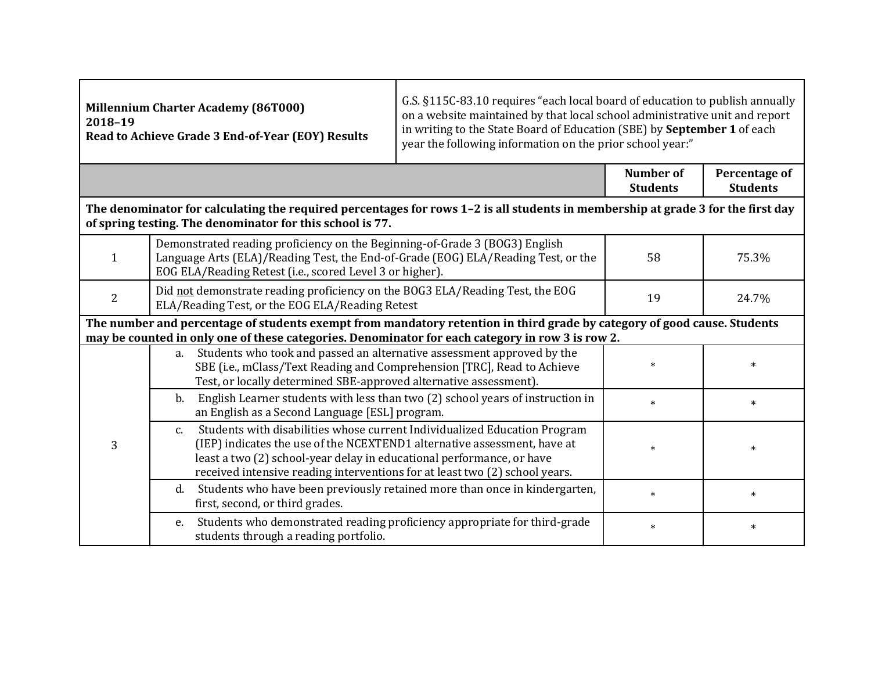| <b>Millennium Charter Academy (86T000)</b><br>2018-19<br>Read to Achieve Grade 3 End-of-Year (EOY) Results                                                                                                                   |                                                                                                                                                                                                                                                                                                                     | G.S. §115C-83.10 requires "each local board of education to publish annually<br>on a website maintained by that local school administrative unit and report<br>in writing to the State Board of Education (SBE) by September 1 of each<br>year the following information on the prior school year:" |                              |                                  |  |  |
|------------------------------------------------------------------------------------------------------------------------------------------------------------------------------------------------------------------------------|---------------------------------------------------------------------------------------------------------------------------------------------------------------------------------------------------------------------------------------------------------------------------------------------------------------------|-----------------------------------------------------------------------------------------------------------------------------------------------------------------------------------------------------------------------------------------------------------------------------------------------------|------------------------------|----------------------------------|--|--|
|                                                                                                                                                                                                                              |                                                                                                                                                                                                                                                                                                                     |                                                                                                                                                                                                                                                                                                     | Number of<br><b>Students</b> | Percentage of<br><b>Students</b> |  |  |
| The denominator for calculating the required percentages for rows 1-2 is all students in membership at grade 3 for the first day<br>of spring testing. The denominator for this school is 77.                                |                                                                                                                                                                                                                                                                                                                     |                                                                                                                                                                                                                                                                                                     |                              |                                  |  |  |
| $\mathbf{1}$                                                                                                                                                                                                                 | Demonstrated reading proficiency on the Beginning-of-Grade 3 (BOG3) English<br>Language Arts (ELA)/Reading Test, the End-of-Grade (EOG) ELA/Reading Test, or the<br>EOG ELA/Reading Retest (i.e., scored Level 3 or higher).                                                                                        |                                                                                                                                                                                                                                                                                                     | 58                           | 75.3%                            |  |  |
| $\overline{2}$                                                                                                                                                                                                               | Did not demonstrate reading proficiency on the BOG3 ELA/Reading Test, the EOG<br>ELA/Reading Test, or the EOG ELA/Reading Retest                                                                                                                                                                                    | 19                                                                                                                                                                                                                                                                                                  | 24.7%                        |                                  |  |  |
| The number and percentage of students exempt from mandatory retention in third grade by category of good cause. Students<br>may be counted in only one of these categories. Denominator for each category in row 3 is row 2. |                                                                                                                                                                                                                                                                                                                     |                                                                                                                                                                                                                                                                                                     |                              |                                  |  |  |
| 3                                                                                                                                                                                                                            | a. Students who took and passed an alternative assessment approved by the<br>SBE (i.e., mClass/Text Reading and Comprehension [TRC], Read to Achieve<br>Test, or locally determined SBE-approved alternative assessment).                                                                                           |                                                                                                                                                                                                                                                                                                     | $\ast$                       | $\ast$                           |  |  |
|                                                                                                                                                                                                                              | b.<br>an English as a Second Language [ESL] program.                                                                                                                                                                                                                                                                | English Learner students with less than two (2) school years of instruction in                                                                                                                                                                                                                      | $\ast$                       | $\ast$                           |  |  |
|                                                                                                                                                                                                                              | Students with disabilities whose current Individualized Education Program<br>c.<br>(IEP) indicates the use of the NCEXTEND1 alternative assessment, have at<br>least a two (2) school-year delay in educational performance, or have<br>received intensive reading interventions for at least two (2) school years. |                                                                                                                                                                                                                                                                                                     | $\ast$                       | $\ast$                           |  |  |
|                                                                                                                                                                                                                              | d.<br>first, second, or third grades.                                                                                                                                                                                                                                                                               | Students who have been previously retained more than once in kindergarten,                                                                                                                                                                                                                          | $\ast$                       | $\ast$                           |  |  |
|                                                                                                                                                                                                                              | Students who demonstrated reading proficiency appropriate for third-grade<br>e.<br>students through a reading portfolio.                                                                                                                                                                                            |                                                                                                                                                                                                                                                                                                     | $\ast$                       | $\ast$                           |  |  |